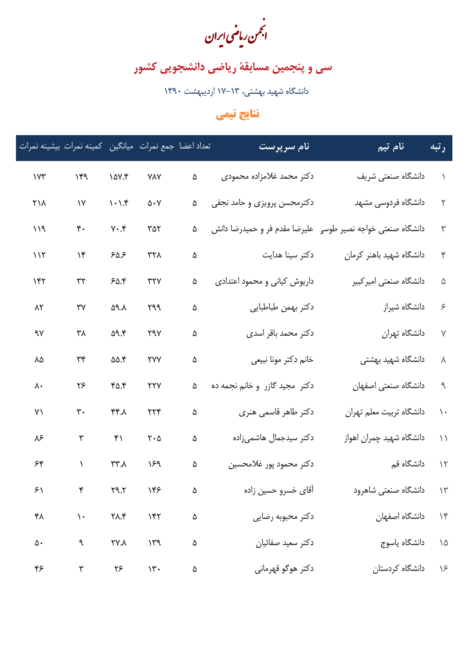.<br>انجمن ریاضی ایران

سی و پنجمین مسابقهٔ ریاضی دانشجویی کشور

دانشگاه شهید بهشتی، ۱۳–۱۷ اردیبهشت ۱۳۹۰

## نتايج تيمي

| رتبه                   | نام تیم                                                     | نام سرپرست                     |   |                                          |                                     |                      | تعداد اعضا جمع نمرات ميانگين كمينه نمرات بيشينه نمرات |
|------------------------|-------------------------------------------------------------|--------------------------------|---|------------------------------------------|-------------------------------------|----------------------|-------------------------------------------------------|
|                        | دانشگاه صنعتی شریف                                          | دکتر محمد غلامزاده محمودی      | ۵ | <b>YAY</b>                               | $\lambda \Delta V.$ ۴               | 16d                  | $\gamma$                                              |
| $\textbf{r}$           | دانشگاه فردوسی مشهد                                         | دکترمحسن پرویزی و حامد نجفی    | ۵ | $\Delta \cdot V$                         | $\backslash\cdot\backslash\uparrow$ | $\lambda\lambda$     | ۲۱۸                                                   |
| $\mathbf{\breve{y}}$   | دانشگاه صنعتی خواجه نصیر طوسی علیرضا مقدم فر و حمیدرضا دانش |                                | ۵ | ۳۵۲                                      | $Y \cdot Y$                         | $\mathfrak{r}$ .     | 119                                                   |
| $\mathbf{r}$           | دانشگاه شهید باهنر کرمان                                    | دکتر سینا هدایت                | ۵ | ٣٢٨                                      | ۶۵۶                                 | $\mathcal{M}$        | 117                                                   |
| $\Delta$               | دانشگاه صنعتی امیرکبیر                                      | داریوش کیانی و محمود اعتدادی   | ۵ | $\tau\tau\gamma$                         | 50.8                                | $\uparrow\uparrow$   | ۱۴۲                                                   |
| $\zeta$                | دانشگاه شیراز                                               | دكتر بهمن طباطبايي             | ۵ | ٣٩٩                                      | ۵۹.۸                                | ٣٧                   | $\lambda$ ٢                                           |
| $\mathsf{Y}$           | دانشگاه تهران                                               | دکتر محمد باقر اسدی            | ۵ | ۲۹۷                                      | 09.5                                | ٣٨                   | ٩٧                                                    |
| $\boldsymbol{\lambda}$ | دانشگاه شهید بهشت <i>ی</i>                                  | خانم دكتر مونا نبيعي           | ۵ | <b>TYY</b>                               | ۵۵.۴                                | $\mu\star$           | ٨۵                                                    |
| $\mathcal{A}$          | دانشگاه صنعتی اصفهان                                        | دکتر ًمجید گازر و خانم نجمه ده | ۵ | $\gamma\gamma\gamma$                     | 40.5                                | ۲۶                   | ٨٠                                                    |
| $\lambda$              | دانشگاه تربیت معلم تهران                                    | دکتر طاهر قاسمی هنری           | ۵ | $\gamma\gamma\gamma$                     | ۴۴.۸                                | $\mathbf{r}$ .       | $Y \setminus$                                         |
| $\setminus$            | دانشگاه شهید چمران اهواز                                    | دکتر سیدجمال هاشمیزاده         | ۵ | $\mathbf{Y}\boldsymbol{\cdot}\mathbf{Q}$ | $\kappa$ )                          | $\mathbf{\breve{v}}$ | ۸۶                                                    |
|                        | ۱۲ دانشگاه قم                                               | دكتر محمود پور غلامحسين        | ۵ | ١۶٩                                      | $\lambda.77$                        | $\backslash$         | 55                                                    |
|                        | ۱۳ دانشگاه صنعتی شاهرود                                     | آقای خسرو حسین زاده            | ۵ | ۱۴۶                                      | 79.7                                |                      | ۶۱                                                    |
| $\gamma$               | دانشگاه اصفهان                                              | دكتر محبوبه رضايي              | ۵ | 157                                      | $\gamma_{\Lambda,\mathfrak{f}}$     | $\backslash$ .       | ۴۸                                                    |
|                        | ۱۵ دانشگاه یاسوج                                            | دكتر سعيد صفائيان              | ۵ | $\gamma \gamma$                          | ۲۷.۸                                | ٩                    | $\Delta \cdot$                                        |
|                        | ۱۶ دانشگاه کردستان                                          | دکتر هوگو قهرمانی              | ۵ | $\mathcal{N}$ .                          | ۲۶                                  | ٣                    | ۴۶                                                    |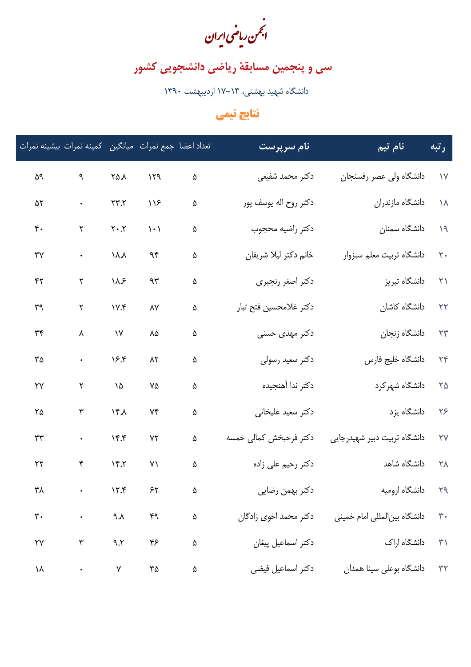.<br>انجمن ریاضی ایران

سی و پنجمین مسابقهٔ ریاضی دانشجویی کشور

دانشگاه شهید بهشتی، ۱۳–۱۷ اردیبهشت ۱۳۹۰

## نتايج تيمي

| رتبه              | نام تیم                         | نام سرپرست             |          |                               |                                           | تعداد اعضا جمع نمرات ميانگين كمينه نمرات بيشينه نمرات |                        |
|-------------------|---------------------------------|------------------------|----------|-------------------------------|-------------------------------------------|-------------------------------------------------------|------------------------|
|                   | ۱۷ دانشگاه ولی عصر رفسنجان      | دكتر محمد شفيعي        | $\Delta$ | 159                           | $\uparrow \upalpha \uparrow \uplambda$    | $\mathcal{A}$                                         | ۵۹                     |
|                   | ۱۸ دانشگاه مازندران             | دكتر روح اله يوسف پور  | ۵        | $\bigwedge$                   | $\tau\tau.\tau$                           | $\mathcal{O}(\mathcal{A})$                            | ۵٢                     |
|                   | ۱۹ دانشگاه سمنا <i>ن</i>        | دكتر راضيه محجوب       | ۵        | $\langle \cdot \rangle$       | $\mathbf{Y}\boldsymbol{\cdot} \mathbf{Y}$ | $\mathbf Y$                                           | $\mathfrak{r}$ .       |
|                   | ۲۰ دانشگاه تربیت معلم سبزوار    | خانم دكتر ليلا شريفان  | ۵        | $\gamma\gamma$                | $\lambda \lambda$                         | $\ddot{\phantom{0}}$                                  | $\forall \forall$      |
|                   | ۲۱ دانشگاه تبریز                | دكتر اصغر رنجبري       | ۵        | $\gamma\gamma$                | $\lambda x$                               | $\mathbf{\tilde{v}}$                                  | $\uparrow\uparrow$     |
|                   | ۲۲ دانشگاه کاشان                | دكتر غلامحسين فتح تبار | ۵        | ٨٧                            | V.5                                       | ٢                                                     | ٣٩                     |
|                   | ۲۳ دانشگاه زنجا <i>ن</i>        | دکتر مهدی حسنی         | ۵        | ٨۵                            | $\gamma\gamma$                            | $\pmb{\lambda}$                                       | $\mathbf{r}$           |
|                   | ۲۴ دانشگاه خلیج فارس            | دكتر سعيد رسولي        | ۵        | $\lambda$ ٢                   | 15.5                                      | $\bullet$                                             | ٣۵                     |
| $\Gamma \Delta$   | دانشگاه شهرکرد                  | دكتر ندا آهنجيده       | ۵        | ٧۵                            | $\backslash\Delta$                        | $\mathbf{\breve{v}}$                                  | $\mathsf{Y}\mathsf{Y}$ |
| $Y$ ۶             | دانشگاه يزد                     | دکتر سعید علیخانی      | ۵        | $\forall \mathfrak{f}$        | 164                                       | ٣                                                     | ٢۵                     |
| $\forall \forall$ | دانشگاه تربیت دبیر شهیدرجایی    | دکتر فرحبخش کمالی خمسه | ۵        | $Y\Upsilon$                   | 15.5                                      | $\bullet$                                             | $\mathbf{r}$           |
|                   | ۲۸ دانشگاه شاهد                 | دکتر رحیم علی زاده     | ۵        | Y                             | $Y^*Y$                                    | ۴                                                     | $\mathbf{r}$           |
|                   | ۲۹ دانشگاه ارومیه               | دکتر بهمن رضایی        | ۵        | ۶۲                            | $\lambda$                                 |                                                       | ٣٨                     |
|                   | ۳۰ دانشگاه بینالمللی امام خمینی | دكتر محمد اخوى زادگان  | $\Delta$ | $\mathfrak{f}^{\mathfrak{q}}$ | ۹.۸                                       | $\mathcal{L}(\mathcal{A})$                            | $\mathbf{r}$ .         |
| $\gamma$          | دانشگاه اراک                    | دكتر اسماعيل پيغان     | ۵        | $\check{\mathbf{r}}$          | 9.7                                       | $\mathbf{\breve{y}}$                                  | $\gamma\gamma$         |
|                   | ۳۲ دانشگاه بوعلی سینا همدان     | دكتر اسماعيل فيضي      | ۵        | ٣۵ $\,$                       | Υ                                         | $\bullet$                                             | ١٨                     |